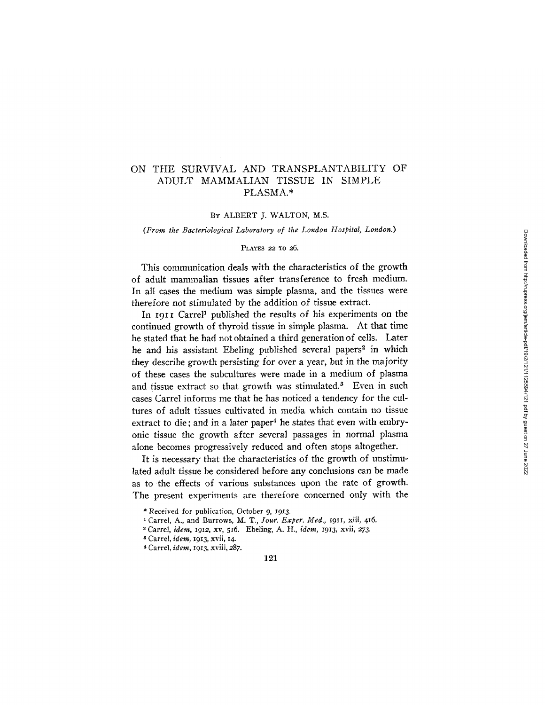# ON THE SURVIVAL AND TRANSPLANTABILITY OF ADULT MAMMALIAN TISSUE IN SIMPLE PLASMA.\*

# BY ALBERT J. WALTON, M.S.

*(From the Bacteriological Laboratory of the London Hospital, London.)* 

## PLATES *22 TO 26.*

This communication deals with the characteristics of the growth of adult mammalian tissues after transference to fresh medium. In all cases the medium was simple plasma, and the tissues were therefore not stimulated by the addition of tissue extract.

In 1911 Carrel<sup>1</sup> published the results of his experiments on the continued growth of thyroid tissue in simple plasma. At that time he stated that he had not obtained a third generation of cells. Later he and his assistant Ebeling published several papers<sup>2</sup> in which they describe growth persisting for over a year, but in the majority of these cases the subcultures were made in a medium of plasma and tissue extract so that growth was stimulated.<sup>3</sup> Even in such cases Carrel informs me that he has noticed a tendency for the cultures of adult tissues cultivated in media which contain no tissue extract to die; and in a later paper<sup>4</sup> he states that even with embryonic tissue the growth after several passages in normal plasma alone becomes progressively reduced and often stops altogether.

It is necessary that the characteristics of the growth of unstimulated adult tissue be considered before any conclusions can be made as to the effects of various substances upon the rate of growth. The present experiments are therefore concerned only with the

- <sup>1</sup> Carrel, A., and Burrows, M. T., *Jour. Exper. Med.*, 1911, xiii, 416.
- Carrel, *idem,* I912, xv, 516. Ebeling, A. H., *idem,* I913, xvii, 273.
- a Carrel, *idern,* 1913, xvii, x4.
- 4 Carrel, *idem,* I913, xviii, *287.*

<sup>\*</sup> Received for publication, October 9, I913.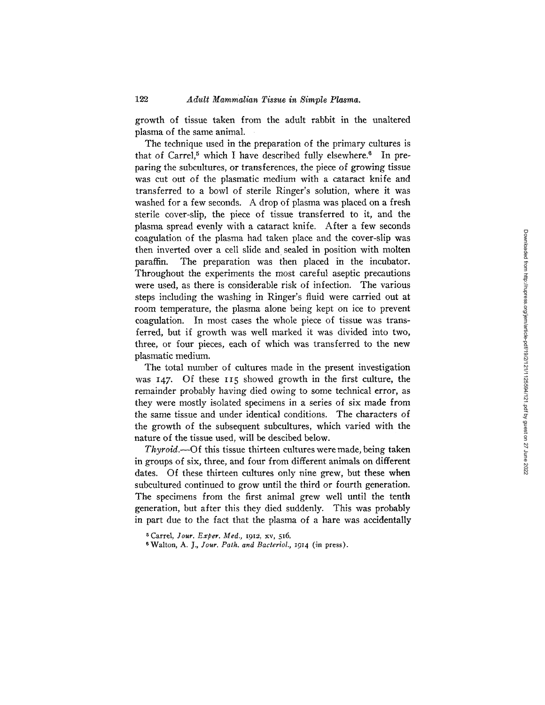growth of tissue taken from the adult rabbit in the unaltered plasma of the same animal.

The technique used in the preparation of the primary cultures is that of Carrel,<sup>5</sup> which I have described fully elsewhere.<sup>6</sup> In preparing the subcultures, or transferences, the piece of growing tissue was cut out of the plasmatic medium with a cataract knife and transferred to a bowl of sterile Ringer's solution, where it was washed for a few seconds. A drop of plasma was placed on a fresh sterile cover-slip, the piece of tissue transferred to it, and the plasma spread evenly with a cataract knife. After a few seconds coagulation of the plasma had taken place and the cover-slip was then inverted over a cell slide and sealed in position with molten paraffin. The preparation was then placed in the incubator. Throughout the experiments the most careful aseptic precautions were used, as there is considerable risk of infection. The various steps including the washing in Ringer's fluid were carried out at room temperature, the plasma alone being kept on ice to prevent coagulation. In most cases the whole piece of tissue was transferred, but if growth was well marked it was divided into two, three, or four pieces, each of which was transferred to the new plasmatic medium.

The total number of cultures made in the present investigation was 147. Of these 115 showed growth in the first culture, the remainder probably having died owing to some technical error, as they were mostly isolated specimens in a series of six made from the same tissue and under identical conditions. The characters of the growth of the subsequent subcultures, which varied with the nature of the tissue used, will be descibed below.

*Thyroid.--Of* this tissue thirteen cultures weremade, being taken in groups of six, three, and four from different animals on different dates. Of these thirteen cultures only nine grew, but these when subcultured continued to grow until the third or fourth generation. The specimens from the first animal grew well until the tenth generation, but after this they died suddenly. This was probably in part due to the fact that the plasma of a hare was accidentally

Carrel, *]our. Exper. Med., I912,* xv, 516.

<sup>6</sup> Walton, A. J., *]our. Path. and Bacteriol.,* I914 (in press).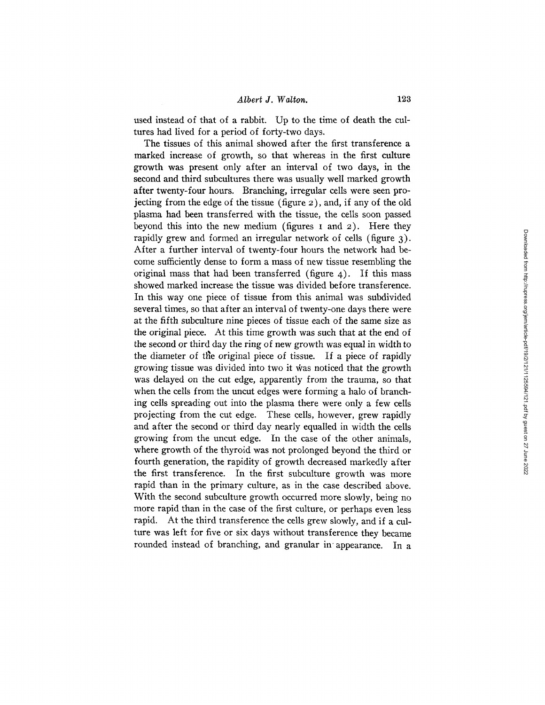used instead of that of a rabbit. Up to the time of death the cultures had lived for a period of forty-two days.

The tissues of this animal showed after the first transference a marked increase of growth, so that whereas in the first culture growth was present only after an interval of two days, in the second and third subcultures there was usually well marked growth after twenty-four hours. Branching, irregular cells were seen projecting from the edge of the tissue (figure 2), and, if any of the old plasma had been transferred with the tissue, the cells soon passed beyond this into the new medium (figures I and 2). Here they rapidly grew and formed an irregular network of cells (figure 3). After a further interval of twenty-four hours the network had become sufficiently dense to form a mass of new tissue resembling the original mass that had been transferred (figure  $4$ ). If this mass showed marked increase the tissue was divided before transference. In this way one piece of tissue from this animal was subdivided several times, so that after an interval of twenty-one days there were at the fifth subculture nine pieces of tissue each of the same size as the original piece. At this time growth was such that at the end of the second or third day the ring of new growth was equal in width to the diameter of the original piece of tissue. If a piece of rapidly growing tissue was divided into two it was noticed that the growth was delayed on the cut edge, apparently from the trauma, so that when the cells from the uncut edges were forming a halo of branching cells spreading out into the plasma there were only a few cells projecting from the cut edge. These cells, however, grew rapidly and after the second or third day nearly equalled in width the cells growing from the uncut edge. In the case of the other animals, where growth of the thyroid was not prolonged beyond the third or fourth generation, the rapidity of growth decreased markedly after the first transference. In the first subculture growth was more rapid than in the primary culture, as in the case described above. With the second subculture growth occurred more slowly, being no more rapid than in the case of the first culture, or perhaps even less rapid. At the third transference the ceils grew slowly, and if a culture was left for five or six days without transference they became rounded instead of branching, and granular in appearance. In a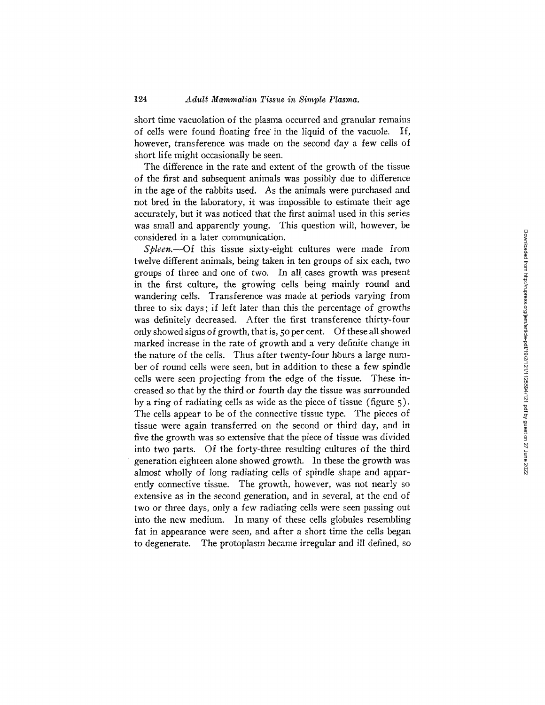short time vacuolation of the plasma occurred and granular remains of cells were found floating free in the liquid of the vacuole. If, however, transference was made on the second day a few cells of short life might occasionally be seen.

The difference in the rate and extent of the growth of the tissue of the first and subsequent animals was possibly due to difference in the age of the rabbits used. As the animals were purchased and not bred in the laboratory, it was impossible to estimate their age accurately, but it was noticed that the first animal used in this series was small and apparently young. This question will, however, be considered in a later communication.

*Spleen.--Of* this tissue sixty-eight cultures were made from twelve different animals, being taken in ten groups of six each, two groups of three and one of two. In all cases growth was present in the first culture, the growing cells being mainly round and wandering cells. Transference was made at periods varying from three to six days; if left later than this the percentage of growths was definitely decreased. After the first transference thirty-four only showed signs of growth, that is, 50 per cent. Of these all showed marked increase in the rate of growth and a very definite change in the nature of the cells. Thus after twenty-four hours a large number of round cells were seen, but in addition to these a few spindle cells were seen projecting from the edge of the tissue. These increased so that by the third or fourth day the tissue was surrounded by a ring of radiating cells as wide as the piece of tissue (figure 5). The cells appear to be of the connective tissue type. The pieces of tissue were again transferred on the second or third day, and in five the growth was so extensive that the piece of tissue was divided into two parts. Of the forty-three resulting cultures of the third generation eighteen alone showed growth. In these the growth was almost wholly of long radiating cells of spindle shape and apparently connective tissue. The growth, however, was not nearly so extensive as in the second generation, and in several, at the end of two or three days, only a few radiating cells were seen passing out into the new medium. In many of these cells globules resembling fat in appearance were seen, and after a short time the cells began to degenerate. The protoplasm became irregular and ill defined, so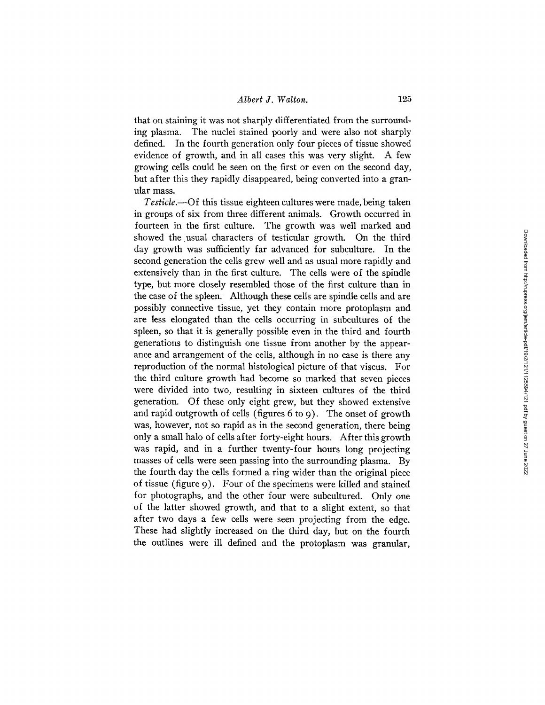that on staining it was not sharply differentiated from the surrounding plasma. The nuclei stained poorly and were also not sharply defined. In the fourth generation only four pieces of tissue showed evidence of growth, and in all cases this was very slight. A few growing cells could be seen on the first or even on the second day, but after this they rapidly disappeared, being converted into a granular mass.

*Testicle.--Of* this tissue eighteen cultures were made, being taken in groups of six from three different animals. Growth occurred in fourteen in the first culture. The growth was well marked and showed the usual characters of testicular growth. On the third day growth was sufficiently far advanced for subculture. In the second generation the cells grew well and as usual more rapidly and extensively than in the first culture. The cells were of the spindle type, but more closely resembled those of the first culture than in the case of the spleen. Although these cells are spindle cells and are possibly connective tissue, yet they contain more protoplasm and are less elongated than the cells occurring in subcultures of the spleen, so that it is generally possible even in the third and fourth generations to distinguish one tissue from another by the appearance and arrangement of the cells, although in no case is there any reproduction of the normal histological picture of that viscus. For the third culture growth had become so marked that seven pieces were divided into two, resulting in sixteen cultures of the third generation. Of these only eight grew, but they showed extensive and rapid outgrowth of cells (figures 6 to 9). The onset of growth was, however, not so rapid as in the second generation, there being only a small halo of cells after forty-eight hours. After this growth was rapid, and in a further twenty-four hours long projecting masses of cells were seen passing into the surrounding plasma. By the fourth day the cells formed a ring wider than the original piece of tissue (figure 9). Four of the specimens were killed and stained for photographs, and the other four were subcultured. Only one of the latter showed growth, and that to a slight extent, so that after two days a few cells were seen projecting from the edge. These had slightly increased on the third day, but on the fourth the outlines were ill defined and the protoplasm was granular,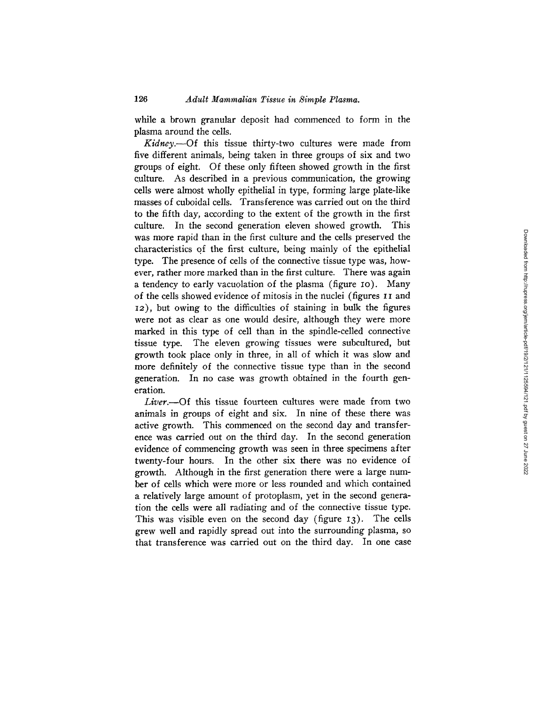while a brown granular deposit had commenced to form in the plasma around the cells.

*Kidney.--Of* this tissue thirty-two cultures were made from five different animals, being taken in three groups of six and two groups of eight. Of these only fifteen showed growth in the first culture. As described in a previous communication, the growing cells were almost wholly epithelial in type, forming large plate-like masses of cuboidal cells. Transference was carried out on the third to the fifth day, according to the extent of the growth in the first culture. In the second generation eleven showed growth. This was more rapid than in the first culture and the cells preserved the characteristics of the first culture, being mainly of the epithelial type. The presence of cells of the connective tissue type was, however, rather more marked than in the first culture. There was again a tendency to early vacuolation of the plasma (figure Io). Many of the cells showed evidence of mitosis in the nuclei (figures II and I2), but owing to the difficulties of staining in bulk the figures were not as clear as one would desire, although they were more marked in this type of cell than in the spindle-celled connective tissue type. The eleven growing tissues were subcultured, but growth took place only in three, in all of which it was slow and more definitely of the connective tissue type than in the second generation. In no case was growth obtained in the fourth generation.

Liver.--Of this tissue fourteen cultures were made from two animals in groups of eight and six. In nine of these there was active growth. This commenced on the second day and transference was carried out on the third day. In the second generation evidence of commencing growth was seen in three specimens after twenty-four hours. In the other six there was no evidence of growth. Although in the first generation there were a large number of cells which were more or less rounded and which contained a relatively large amount of protoplasm, yet in the second generation the cells were all radiating and of the connective tissue type. This was visible even on the second day (figure I3). The cells grew well and rapidly spread out into the surrounding plasma, so that transference was carried out on the third day. In one case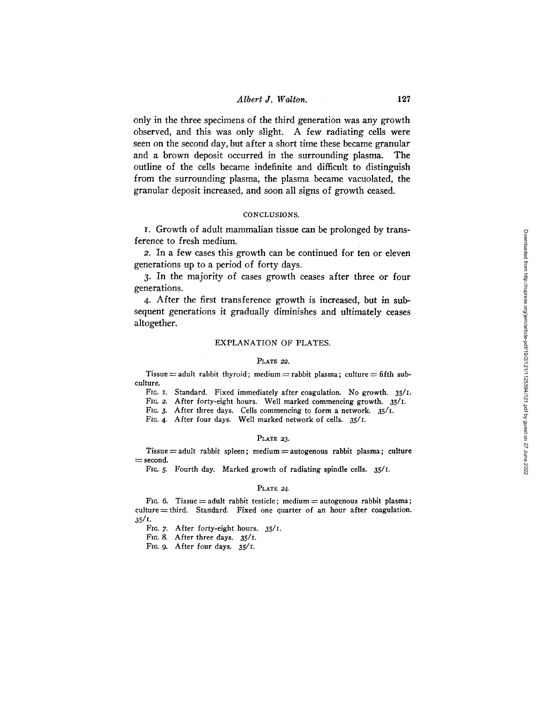# *Albert J. Walton.* **127**

**only in the three specimens of the third generation was any growth observed, and this was only slight. A few radiating cells were seen on the second day, but after a short time these became granular and a brown deposit occurred in the surrounding plasma. The outline of the cells became indefinite and difficult to distinguish from the surrounding plasma, the plasma became vacuolated, the granular deposit increased, and soon all signs of growth ceased.** 

## CONCLUSIONS.

**I. Growth of adult mammalian tissue can be prolonged by transference to fresh medium.** 

**2. In a few cases this growth can be continued for ten or eleven generations up to a period of forty days.** 

**3. In the majority of cases growth ceases after three or four generations.** 

**4. After the first transference growth is increased, but in subsequent generations it gradually diminishes and ultimately ceases altogether.** 

### EXPLANATION OF PLATES.

#### PLATE *22.*

Tissue  $=$  adult rabbit thyroid; medium  $=$  rabbit plasma; culture  $=$  fifth subculture.

Fla. I. **Standard. Fixed immediately after coagulation. No growth.** 35/1.

FIG. 2. **After forty-eight hours. Well marked commencing growth.** 35/1.

FIG. 3. After three days. Cells commencing to form a network. 35/I.

FIG. 4. **After four days. Well marked network of** cells. *35/I.* 

#### PLATE 23.

Tissue = adult rabbit spleen; medium = autogenous rabbit plasma; culture <sup>=</sup>**second.** 

FIG. 5. **Fourth day. Marked growth of radiating spindle** cells. *35/1.* 

#### PLATE 24.

FIG. 6. Tissue  $=$  adult rabbit testicle; medium  $=$  autogenous rabbit plasma; culture = third. Standard. Fixed one quarter of an hour after coagulation.  $35/1.$ 

Fla. 7. **After forty-eight hours.** 35/1.

Fro. 8. **After three days.** 35/1.

Fro. 9. **After four days.** 35/I.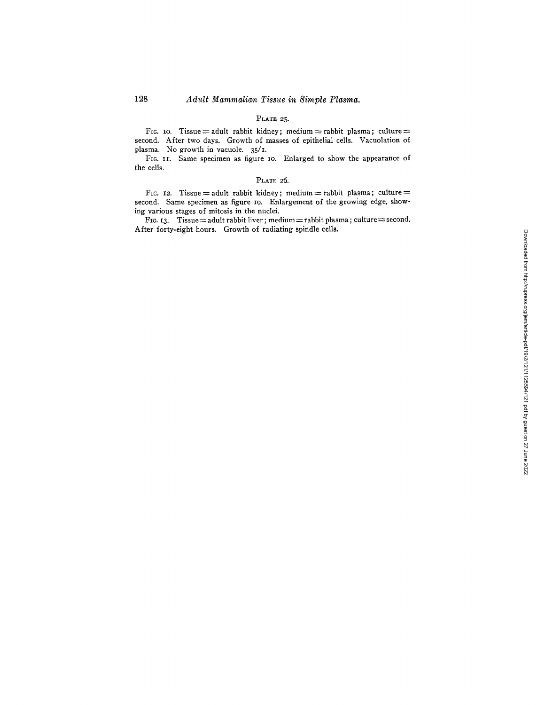## PLATE  $25$ .

FIG. IO. Tissue = adult rabbit kidney; medium = rabbit plasma; culture = second. After two days. Growth of masses of epithelial cells. Vacuolation of plasma. No growth in vacuole. 35/1.

FIG. II. Same specimen as figure io. Enlarged to show the appearance of the cells.

#### PLATE 26.

FIG. 12. Tissue  $=$  adult rabbit kidney; medium  $=$  rabbit plasma; culture  $=$ second. Same specimen as figure IO. Enlargement of the growing edge, showing various stages of mitosis in the nuclei.

FIG. 13. Tissue=adult rabbit liver ; medium=rabbit plasma; culture=second. After forty-eight hours. Growth of radiating spindle cells.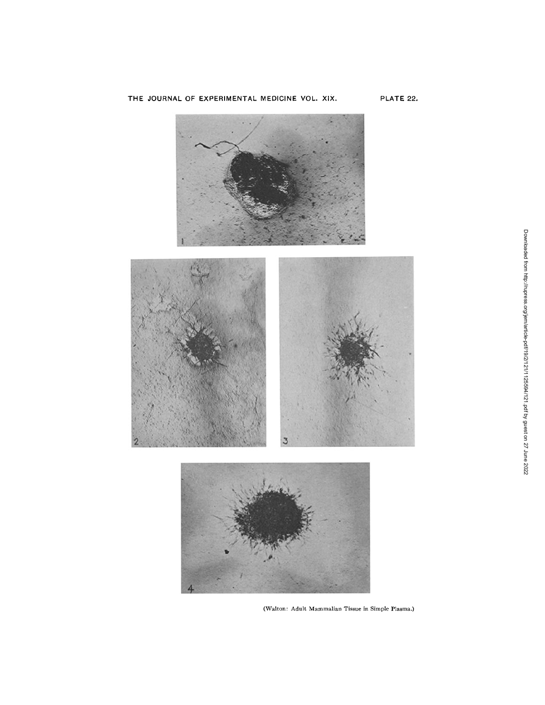# THE JOURNAL OF EXPERIMENTAL MEDICINE VOL. XIX. PLATE 22.

(Walton: Adult Mammalian Tissue in Simple Plasma.)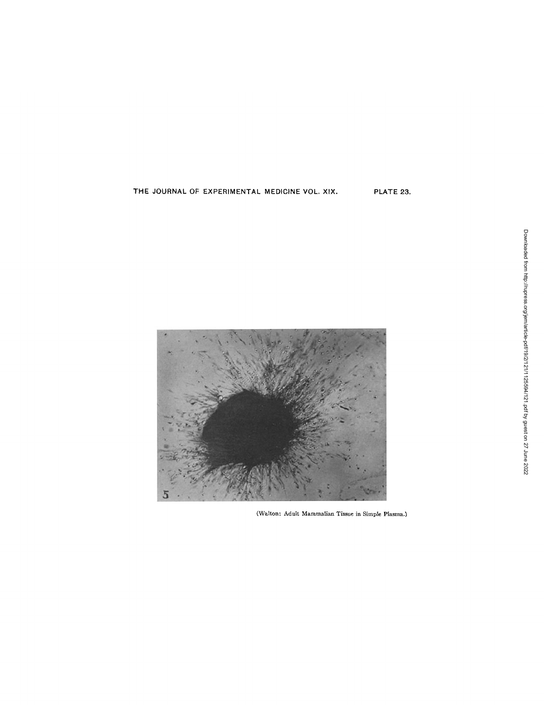THE JOURNAL OF EXPERIMENTAL MEDICINE VOL. XIX. PLATE 23.



(Walton: Adult Mammalian Tissue in Simple Plasma.)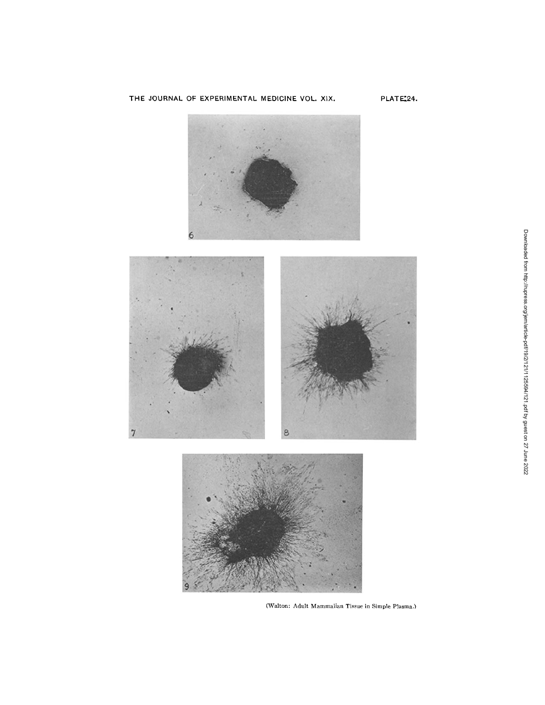# THE JOURNAL OF EXPERIMENTAL MEDICINE VOL. XIX. PLATE:24.





(Walton: Adult Mammalian Tissue in Simple P!asma.)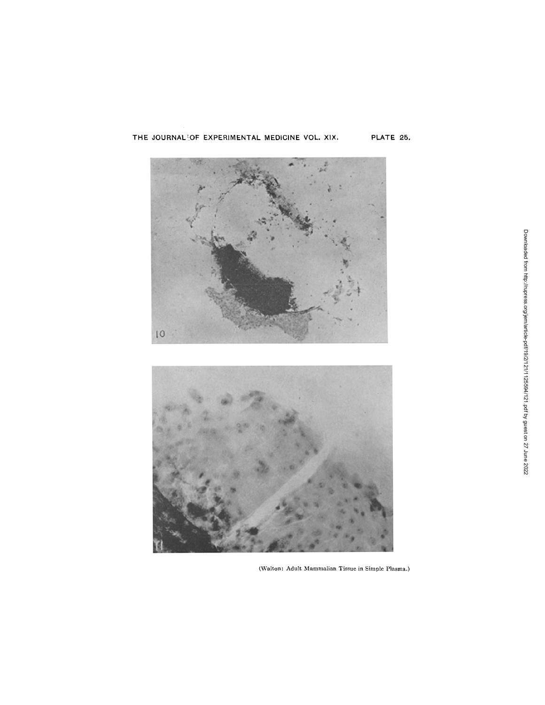

## THE JOURNAL<sup>5</sup>OF EXPERIMENTAL MEDICINE VOL. XIX. PLATE 25.



(Walton: Adult Mammalian Tissue in Simple Plasma.)